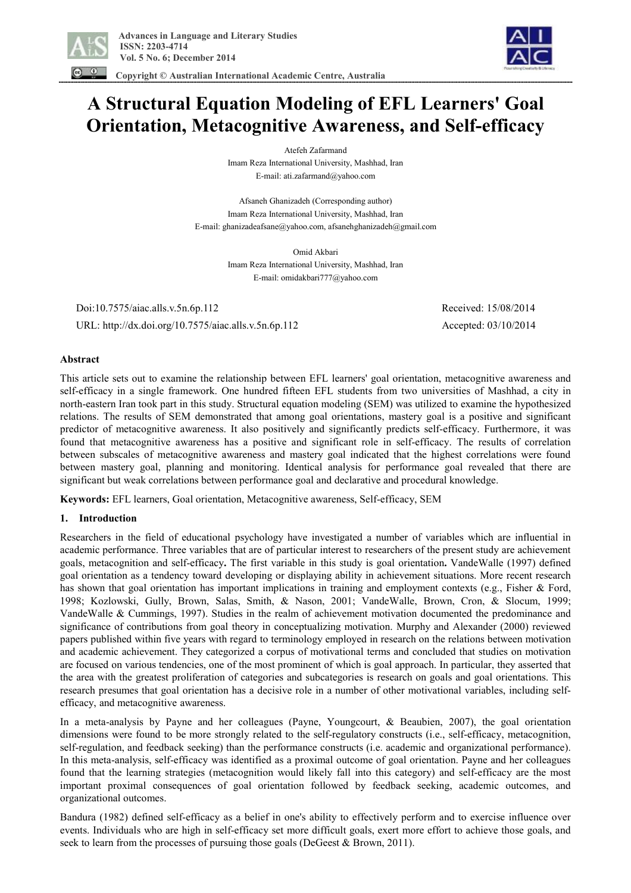

 **Copyright © Australian International Academic Centre, Australia** 



# **A Structural Equation Modeling of EFL Learners' Goal Orientation, Metacognitive Awareness, and Self-efficacy**

Atefeh Zafarmand Imam Reza International University, Mashhad, Iran E-mail: ati.zafarmand@yahoo.com

Afsaneh Ghanizadeh (Corresponding author) Imam Reza International University, Mashhad, Iran E-mail: ghanizadeafsane@yahoo.com, afsanehghanizadeh@gmail.com

> Omid Akbari Imam Reza International University, Mashhad, Iran E-mail: omidakbari777@yahoo.com

 Doi:10.7575/aiac.alls.v.5n.6p.112 Received: 15/08/2014 URL: http://dx.doi.org/10.7575/aiac.alls.v.5n.6p.112 Accepted: 03/10/2014

# **Abstract**

This article sets out to examine the relationship between EFL learners' goal orientation, metacognitive awareness and self-efficacy in a single framework. One hundred fifteen EFL students from two universities of Mashhad, a city in north-eastern Iran took part in this study. Structural equation modeling (SEM) was utilized to examine the hypothesized relations. The results of SEM demonstrated that among goal orientations, mastery goal is a positive and significant predictor of metacognitive awareness. It also positively and significantly predicts self-efficacy. Furthermore, it was found that metacognitive awareness has a positive and significant role in self-efficacy. The results of correlation between subscales of metacognitive awareness and mastery goal indicated that the highest correlations were found between mastery goal, planning and monitoring. Identical analysis for performance goal revealed that there are significant but weak correlations between performance goal and declarative and procedural knowledge.

**Keywords:** EFL learners, Goal orientation, Metacognitive awareness, Self-efficacy, SEM

#### **1. Introduction**

Researchers in the field of educational psychology have investigated a number of variables which are influential in academic performance. Three variables that are of particular interest to researchers of the present study are achievement goals, metacognition and self-efficacy**.** The first variable in this study is goal orientation**.** VandeWalle (1997) defined goal orientation as a tendency toward developing or displaying ability in achievement situations. More recent research has shown that goal orientation has important implications in training and employment contexts (e.g., Fisher & Ford, 1998; Kozlowski, Gully, Brown, Salas, Smith, & Nason, 2001; VandeWalle, Brown, Cron, & Slocum, 1999; VandeWalle & Cummings, 1997). Studies in the realm of achievement motivation documented the predominance and significance of contributions from goal theory in conceptualizing motivation. Murphy and Alexander (2000) reviewed papers published within five years with regard to terminology employed in research on the relations between motivation and academic achievement. They categorized a corpus of motivational terms and concluded that studies on motivation are focused on various tendencies, one of the most prominent of which is goal approach. In particular, they asserted that the area with the greatest proliferation of categories and subcategories is research on goals and goal orientations. This research presumes that goal orientation has a decisive role in a number of other motivational variables, including selfefficacy, and metacognitive awareness.

In a meta-analysis by Payne and her colleagues (Payne, Youngcourt, & Beaubien, 2007), the goal orientation dimensions were found to be more strongly related to the self-regulatory constructs (i.e., self-efficacy, metacognition, self-regulation, and feedback seeking) than the performance constructs (i.e. academic and organizational performance). In this meta-analysis, self-efficacy was identified as a proximal outcome of goal orientation. Payne and her colleagues found that the learning strategies (metacognition would likely fall into this category) and self-efficacy are the most important proximal consequences of goal orientation followed by feedback seeking, academic outcomes, and organizational outcomes.

Bandura (1982) defined self-efficacy as a belief in one's ability to effectively perform and to exercise influence over events. Individuals who are high in self-efficacy set more difficult goals, exert more effort to achieve those goals, and seek to learn from the processes of pursuing those goals (DeGeest  $& Brown, 2011$ ).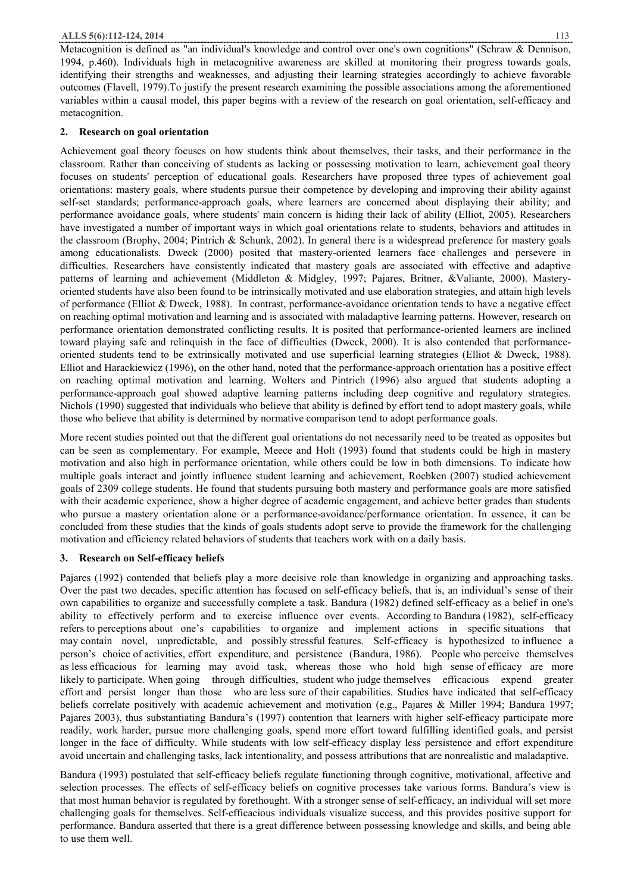Metacognition is defined as "an individual's knowledge and control over one's own cognitions" (Schraw & Dennison, 1994, p.460). Individuals high in metacognitive awareness are skilled at monitoring their progress towards goals, identifying their strengths and weaknesses, and adjusting their learning strategies accordingly to achieve favorable outcomes (Flavell, 1979).To justify the present research examining the possible associations among the aforementioned variables within a causal model, this paper begins with a review of the research on goal orientation, self-efficacy and metacognition.

# **2. Research on goal orientation**

Achievement goal theory focuses on how students think about themselves, their tasks, and their performance in the classroom. Rather than conceiving of students as lacking or possessing motivation to learn, achievement goal theory focuses on students' perception of educational goals. Researchers have proposed three types of achievement goal orientations: mastery goals, where students pursue their competence by developing and improving their ability against self-set standards; performance-approach goals, where learners are concerned about displaying their ability; and performance avoidance goals, where students' main concern is hiding their lack of ability (Elliot, 2005). Researchers have investigated a number of important ways in which goal orientations relate to students, behaviors and attitudes in the classroom (Brophy, 2004; Pintrich & Schunk, 2002). In general there is a widespread preference for mastery goals among educationalists. Dweck (2000) posited that mastery-oriented learners face challenges and persevere in difficulties. Researchers have consistently indicated that mastery goals are associated with effective and adaptive patterns of learning and achievement (Middleton & Midgley, 1997; Pajares, Britner, &Valiante, 2000). Masteryoriented students have also been found to be intrinsically motivated and use elaboration strategies, and attain high levels of performance (Elliot & Dweck, 1988). In contrast, performance-avoidance orientation tends to have a negative effect on reaching optimal motivation and learning and is associated with maladaptive learning patterns. However, research on performance orientation demonstrated conflicting results. It is posited that performance-oriented learners are inclined toward playing safe and relinquish in the face of difficulties (Dweck, 2000). It is also contended that performanceoriented students tend to be extrinsically motivated and use superficial learning strategies (Elliot & Dweck, 1988). Elliot and Harackiewicz (1996), on the other hand, noted that the performance-approach orientation has a positive effect on reaching optimal motivation and learning. Wolters and Pintrich (1996) also argued that students adopting a performance-approach goal showed adaptive learning patterns including deep cognitive and regulatory strategies. Nichols (1990) suggested that individuals who believe that ability is defined by effort tend to adopt mastery goals, while those who believe that ability is determined by normative comparison tend to adopt performance goals.

More recent studies pointed out that the different goal orientations do not necessarily need to be treated as opposites but can be seen as complementary. For example, Meece and Holt (1993) found that students could be high in mastery motivation and also high in performance orientation, while others could be low in both dimensions. To indicate how multiple goals interact and jointly influence student learning and achievement, Roebken (2007) studied achievement goals of 2309 college students. He found that students pursuing both mastery and performance goals are more satisfied with their academic experience, show a higher degree of academic engagement, and achieve better grades than students who pursue a mastery orientation alone or a performance-avoidance/performance orientation. In essence, it can be concluded from these studies that the kinds of goals students adopt serve to provide the framework for the challenging motivation and efficiency related behaviors of students that teachers work with on a daily basis.

# **3. Research on Self-efficacy beliefs**

Pajares (1992) contended that beliefs play a more decisive role than knowledge in organizing and approaching tasks. Over the past two decades, specific attention has focused on self-efficacy beliefs, that is, an individual's sense of their own capabilities to organize and successfully complete a task. Bandura (1982) defined self-efficacy as a belief in one's ability to effectively perform and to exercise influence over events. According to Bandura (1982), self-efficacy refers to perceptions about one's capabilities to organize and implement actions in specific situations that may contain novel, unpredictable, and possibly stressful features. Self-efficacy is hypothesized to influence a person's choice of activities, effort expenditure, and persistence (Bandura, 1986). People who perceive themselves as less efficacious for learning may avoid task, whereas those who hold high sense of efficacy are more likely to participate. When going through difficulties, student who judge themselves efficacious expend greater effort and persist longer than those who are less sure of their capabilities. Studies have indicated that self-efficacy beliefs correlate positively with academic achievement and motivation (e.g., Pajares & Miller 1994; Bandura 1997; Pajares 2003), thus substantiating Bandura's (1997) contention that learners with higher self-efficacy participate more readily, work harder, pursue more challenging goals, spend more effort toward fulfilling identified goals, and persist longer in the face of difficulty. While students with low self-efficacy display less persistence and effort expenditure avoid uncertain and challenging tasks, lack intentionality, and possess attributions that are nonrealistic and maladaptive.

Bandura (1993) postulated that self-efficacy beliefs regulate functioning through cognitive, motivational, affective and selection processes. The effects of self-efficacy beliefs on cognitive processes take various forms. Bandura's view is that most human behavior is regulated by forethought. With a stronger sense of self-efficacy, an individual will set more challenging goals for themselves. Self-efficacious individuals visualize success, and this provides positive support for performance. Bandura asserted that there is a great difference between possessing knowledge and skills, and being able to use them well.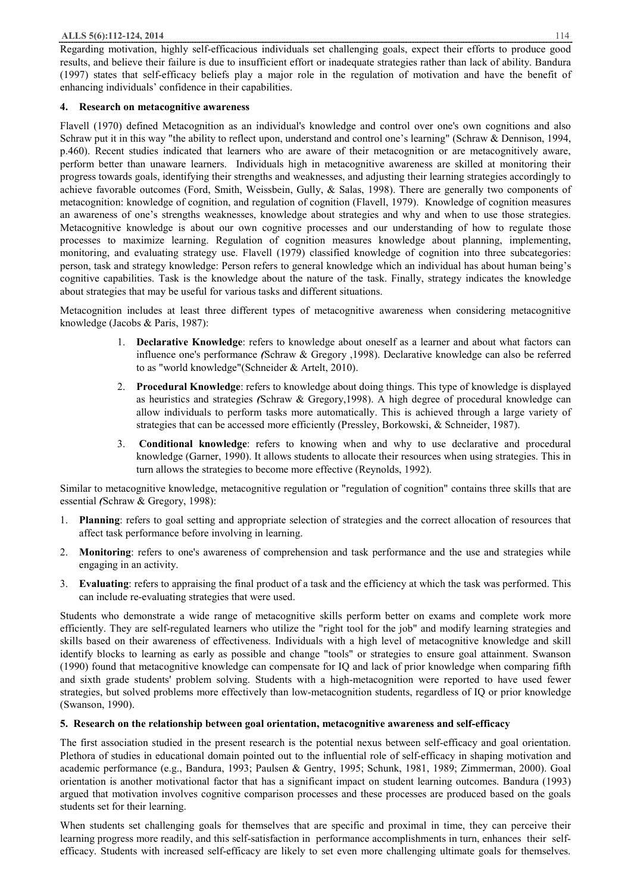Regarding motivation, highly self-efficacious individuals set challenging goals, expect their efforts to produce good results, and believe their failure is due to insufficient effort or inadequate strategies rather than lack of ability. Bandura (1997) states that self-efficacy beliefs play a major role in the regulation of motivation and have the benefit of enhancing individuals' confidence in their capabilities.

#### **4. Research on metacognitive awareness**

Flavell (1970) defined Metacognition as an individual's knowledge and control over one's own cognitions and also Schraw put it in this way "the ability to reflect upon, understand and control one's learning" (Schraw & Dennison, 1994, p.460). Recent studies indicated that learners who are aware of their metacognition or are metacognitively aware, perform better than unaware learners. Individuals high in metacognitive awareness are skilled at monitoring their progress towards goals, identifying their strengths and weaknesses, and adjusting their learning strategies accordingly to achieve favorable outcomes (Ford, Smith, Weissbein, Gully, & Salas, 1998). There are generally two components of metacognition: knowledge of cognition, and regulation of cognition (Flavell, 1979). Knowledge of cognition measures an awareness of one's strengths weaknesses, knowledge about strategies and why and when to use those strategies. Metacognitive knowledge is about our own cognitive processes and our understanding of how to regulate those processes to maximize learning. Regulation of cognition measures knowledge about planning, implementing, monitoring, and evaluating strategy use. Flavell (1979) classified knowledge of cognition into three subcategories: person, task and strategy knowledge: Person refers to general knowledge which an individual has about human being's cognitive capabilities. Task is the knowledge about the nature of the task. Finally, strategy indicates the knowledge about strategies that may be useful for various tasks and different situations.

Metacognition includes at least three different types of metacognitive awareness when considering metacognitive knowledge (Jacobs & Paris, 1987):

- 1. **Declarative Knowledge**: refers to knowledge about oneself as a learner and about what factors can influence one's performance *(*Schraw & Gregory ,1998). Declarative knowledge can also be referred to as "world knowledge"(Schneider & Artelt, 2010).
- 2. **Procedural Knowledge**: refers to knowledge about doing things. This type of knowledge is displayed as heuristics and strategies *(*Schraw & Gregory,1998). A high degree of procedural knowledge can allow individuals to perform tasks more automatically. This is achieved through a large variety of strategies that can be accessed more efficiently (Pressley, Borkowski, & Schneider, 1987).
- 3. **Conditional knowledge**: refers to knowing when and why to use declarative and procedural knowledge (Garner, 1990). It allows students to allocate their resources when using strategies. This in turn allows the strategies to become more effective (Reynolds, 1992).

Similar to metacognitive knowledge, metacognitive regulation or "regulation of cognition" contains three skills that are essential *(*Schraw & Gregory, 1998):

- 1. **Planning**: refers to goal setting and appropriate selection of strategies and the correct allocation of resources that affect task performance before involving in learning.
- 2. **Monitoring**: refers to one's awareness of comprehension and task performance and the use and strategies while engaging in an activity.
- 3. **Evaluating**: refers to appraising the final product of a task and the efficiency at which the task was performed. This can include re-evaluating strategies that were used.

Students who demonstrate a wide range of metacognitive skills perform better on exams and complete work more efficiently. They are self-regulated learners who utilize the "right tool for the job" and modify learning strategies and skills based on their awareness of effectiveness. Individuals with a high level of metacognitive knowledge and skill identify blocks to learning as early as possible and change "tools" or strategies to ensure goal attainment. Swanson (1990) found that metacognitive knowledge can compensate for IQ and lack of prior knowledge when comparing fifth and sixth grade students' problem solving. Students with a high-metacognition were reported to have used fewer strategies, but solved problems more effectively than low-metacognition students, regardless of IQ or prior knowledge (Swanson, 1990).

# **5. Research on the relationship between goal orientation, metacognitive awareness and self-efficacy**

The first association studied in the present research is the potential nexus between self-efficacy and goal orientation. Plethora of studies in educational domain pointed out to the influential role of self-efficacy in shaping motivation and academic performance (e.g., Bandura, 1993; Paulsen & Gentry, 1995; Schunk, 1981, 1989; Zimmerman, 2000). Goal orientation is another motivational factor that has a significant impact on student learning outcomes. Bandura (1993) argued that motivation involves cognitive comparison processes and these processes are produced based on the goals students set for their learning.

When students set challenging goals for themselves that are specific and proximal in time, they can perceive their learning progress more readily, and this self-satisfaction in performance accomplishments in turn, enhances their selfefficacy. Students with increased self-efficacy are likely to set even more challenging ultimate goals for themselves.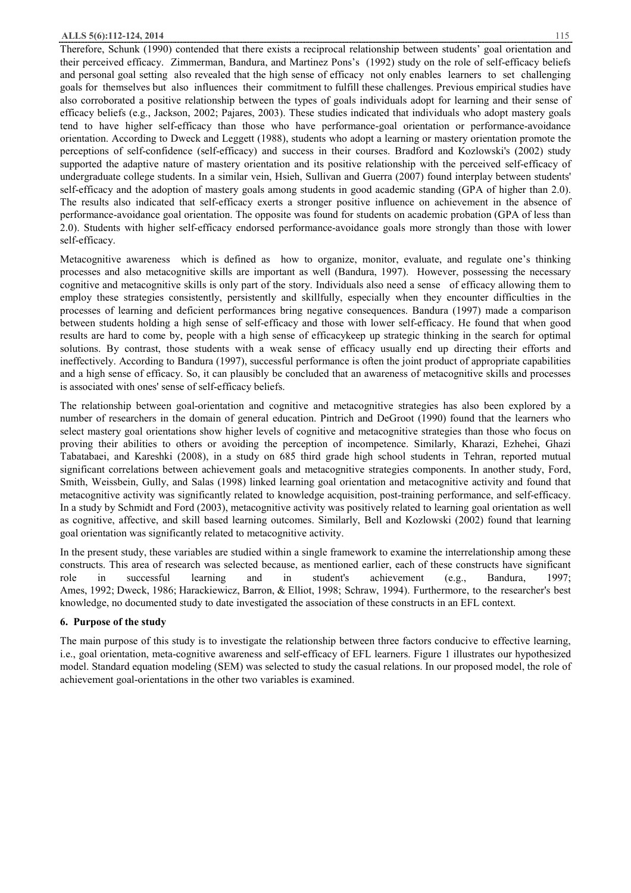#### **ALLS 5(6):112-124, 2014** 115

Therefore, Schunk (1990) contended that there exists a reciprocal relationship between students' goal orientation and their perceived efficacy. Zimmerman, Bandura, and Martinez Pons's (1992) study on the role of self-efficacy beliefs and personal goal setting also revealed that the high sense of efficacy not only enables learners to set challenging goals for themselves but also influences their commitment to fulfill these challenges. Previous empirical studies have also corroborated a positive relationship between the types of goals individuals adopt for learning and their sense of efficacy beliefs (e.g., Jackson, 2002; Pajares, 2003). These studies indicated that individuals who adopt mastery goals tend to have higher self-efficacy than those who have performance-goal orientation or performance-avoidance orientation. According to Dweck and Leggett (1988), students who adopt a learning or mastery orientation promote the perceptions of self-confidence (self-efficacy) and success in their courses. Bradford and Kozlowski's (2002) study supported the adaptive nature of mastery orientation and its positive relationship with the perceived self-efficacy of undergraduate college students. In a similar vein, Hsieh, Sullivan and Guerra (2007) found interplay between students' self-efficacy and the adoption of mastery goals among students in good academic standing (GPA of higher than 2.0). The results also indicated that self-efficacy exerts a stronger positive influence on achievement in the absence of performance-avoidance goal orientation. The opposite was found for students on academic probation (GPA of less than 2.0). Students with higher self-efficacy endorsed performance-avoidance goals more strongly than those with lower self-efficacy.

Metacognitive awareness which is defined as how to organize, monitor, evaluate, and regulate one's thinking processes and also metacognitive skills are important as well (Bandura, 1997). However, possessing the necessary cognitive and metacognitive skills is only part of the story. Individuals also need a sense of efficacy allowing them to employ these strategies consistently, persistently and skillfully, especially when they encounter difficulties in the processes of learning and deficient performances bring negative consequences. Bandura (1997) made a comparison between students holding a high sense of self-efficacy and those with lower self-efficacy. He found that when good results are hard to come by, people with a high sense of efficacykeep up strategic thinking in the search for optimal solutions. By contrast, those students with a weak sense of efficacy usually end up directing their efforts and ineffectively. According to Bandura (1997), successful performance is often the joint product of appropriate capabilities and a high sense of efficacy. So, it can plausibly be concluded that an awareness of metacognitive skills and processes is associated with ones' sense of self-efficacy beliefs.

The relationship between goal-orientation and cognitive and metacognitive strategies has also been explored by a number of researchers in the domain of general education. Pintrich and DeGroot (1990) found that the learners who select mastery goal orientations show higher levels of cognitive and metacognitive strategies than those who focus on proving their abilities to others or avoiding the perception of incompetence. Similarly, Kharazi, Ezhehei, Ghazi Tabatabaei, and Kareshki (2008), in a study on 685 third grade high school students in Tehran, reported mutual significant correlations between achievement goals and metacognitive strategies components. In another study, Ford, Smith, Weissbein, Gully, and Salas (1998) linked learning goal orientation and metacognitive activity and found that metacognitive activity was significantly related to knowledge acquisition, post-training performance, and self-efficacy. In a study by Schmidt and Ford (2003), metacognitive activity was positively related to learning goal orientation as well as cognitive, affective, and skill based learning outcomes. Similarly, Bell and Kozlowski (2002) found that learning goal orientation was significantly related to metacognitive activity.

In the present study, these variables are studied within a single framework to examine the interrelationship among these constructs. This area of research was selected because, as mentioned earlier, each of these constructs have significant role in successful learning and in student's achievement (e.g., Bandura, 1997; Ames, 1992; Dweck, 1986; Harackiewicz, Barron, & Elliot, 1998; Schraw, 1994). Furthermore, to the researcher's best knowledge, no documented study to date investigated the association of these constructs in an EFL context.

#### **6. Purpose of the study**

The main purpose of this study is to investigate the relationship between three factors conducive to effective learning, i.e., goal orientation, meta-cognitive awareness and self-efficacy of EFL learners. Figure 1 illustrates our hypothesized model. Standard equation modeling (SEM) was selected to study the casual relations. In our proposed model, the role of achievement goal-orientations in the other two variables is examined.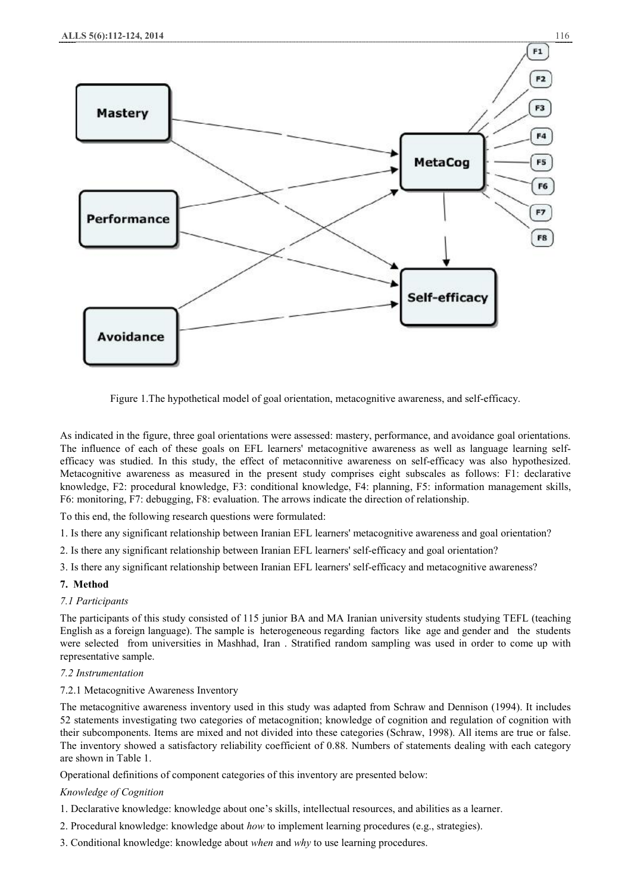

Figure 1.The hypothetical model of goal orientation, metacognitive awareness, and self-efficacy.

As indicated in the figure, three goal orientations were assessed: mastery, performance, and avoidance goal orientations. The influence of each of these goals on EFL learners' metacognitive awareness as well as language learning selfefficacy was studied. In this study, the effect of metaconnitive awareness on self-efficacy was also hypothesized. Metacognitive awareness as measured in the present study comprises eight subscales as follows: F1: declarative knowledge, F2: procedural knowledge, F3: conditional knowledge, F4: planning, F5: information management skills, F6: monitoring, F7: debugging, F8: evaluation. The arrows indicate the direction of relationship.

To this end, the following research questions were formulated:

- 1. Is there any significant relationship between Iranian EFL learners' metacognitive awareness and goal orientation?
- 2. Is there any significant relationship between Iranian EFL learners' self-efficacy and goal orientation?
- 3. Is there any significant relationship between Iranian EFL learners' self-efficacy and metacognitive awareness?

# **7. Method**

#### *7.1 Participants*

The participants of this study consisted of 115 junior BA and MA Iranian university students studying TEFL (teaching English as a foreign language). The sample is heterogeneous regarding factors like age and gender and the students were selected from universities in Mashhad, Iran . Stratified random sampling was used in order to come up with representative sample.

# *7.2 Instrumentation*

#### 7.2.1 Metacognitive Awareness Inventory

The metacognitive awareness inventory used in this study was adapted from Schraw and Dennison (1994). It includes 52 statements investigating two categories of metacognition; knowledge of cognition and regulation of cognition with their subcomponents. Items are mixed and not divided into these categories (Schraw, 1998). All items are true or false. The inventory showed a satisfactory reliability coefficient of 0.88. Numbers of statements dealing with each category are shown in Table 1.

Operational definitions of component categories of this inventory are presented below:

# *Knowledge of Cognition*

- 1. Declarative knowledge: knowledge about one's skills, intellectual resources, and abilities as a learner.
- 2. Procedural knowledge: knowledge about *how* to implement learning procedures (e.g., strategies).
- 3. Conditional knowledge: knowledge about *when* and *why* to use learning procedures.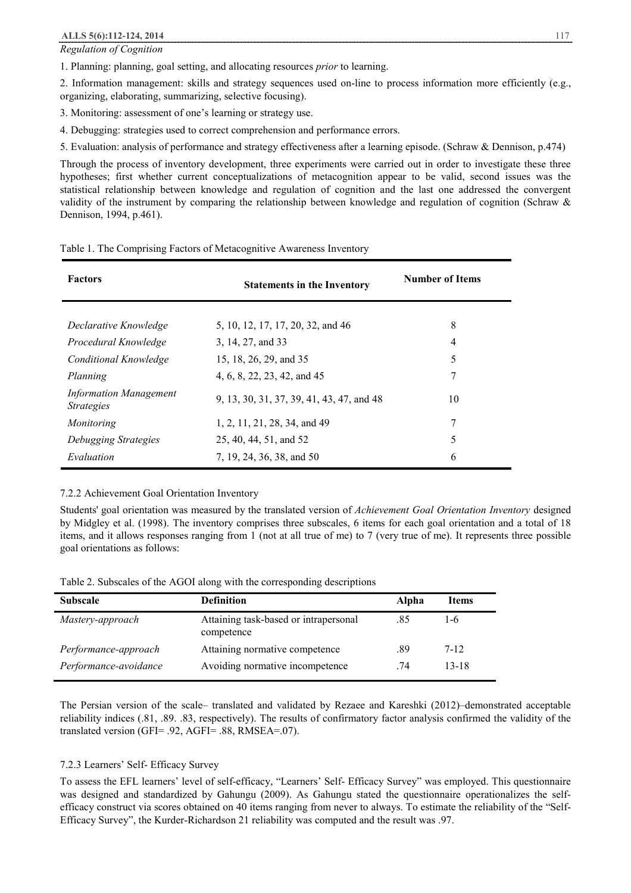*Regulation of Cognition* 

1. Planning: planning, goal setting, and allocating resources *prior* to learning.

2. Information management: skills and strategy sequences used on-line to process information more efficiently (e.g., organizing, elaborating, summarizing, selective focusing).

3. Monitoring: assessment of one's learning or strategy use.

4. Debugging: strategies used to correct comprehension and performance errors.

5. Evaluation: analysis of performance and strategy effectiveness after a learning episode. (Schraw & Dennison, p.474)

Through the process of inventory development, three experiments were carried out in order to investigate these three hypotheses; first whether current conceptualizations of metacognition appear to be valid, second issues was the statistical relationship between knowledge and regulation of cognition and the last one addressed the convergent validity of the instrument by comparing the relationship between knowledge and regulation of cognition (Schraw & Dennison, 1994, p.461).

#### Table 1. The Comprising Factors of Metacognitive Awareness Inventory

| <b>Factors</b>                                     | <b>Statements in the Inventory</b>        | <b>Number of Items</b> |
|----------------------------------------------------|-------------------------------------------|------------------------|
| Declarative Knowledge                              | 5, 10, 12, 17, 17, 20, 32, and 46         | 8                      |
| Procedural Knowledge                               | 3, 14, 27, and 33                         | 4                      |
| Conditional Knowledge                              | 15, 18, 26, 29, and 35                    | 5                      |
| Planning                                           | 4, 6, 8, 22, 23, 42, and 45               | 7                      |
| <b>Information Management</b><br><i>Strategies</i> | 9, 13, 30, 31, 37, 39, 41, 43, 47, and 48 | 10                     |
| Monitoring                                         | 1, 2, 11, 21, 28, 34, and 49              | 7                      |
| Debugging Strategies                               | 25, 40, 44, 51, and 52                    | 5                      |
| Evaluation                                         | 7, 19, 24, 36, 38, and 50                 | 6                      |

#### 7.2.2 Achievement Goal Orientation Inventory

Students' goal orientation was measured by the translated version of *Achievement Goal Orientation Inventory* designed by Midgley et al. (1998). The inventory comprises three subscales, 6 items for each goal orientation and a total of 18 items, and it allows responses ranging from 1 (not at all true of me) to 7 (very true of me). It represents three possible goal orientations as follows:

Table 2. Subscales of the AGOI along with the corresponding descriptions

| <b>Subscale</b>       | <b>Definition</b>                                   | Alpha | Items |
|-----------------------|-----------------------------------------------------|-------|-------|
| Mastery-approach      | Attaining task-based or intrapersonal<br>competence | .85   | 1-6   |
| Performance-approach  | Attaining normative competence                      | .89   | 7-12  |
| Performance-avoidance | Avoiding normative incompetence                     | .74   | 13-18 |

The Persian version of the scale– translated and validated by Rezaee and Kareshki (2012)–demonstrated acceptable reliability indices (.81, .89. .83, respectively). The results of confirmatory factor analysis confirmed the validity of the translated version (GFI= .92, AGFI= .88, RMSEA=.07).

#### 7.2.3 Learners' Self- Efficacy Survey

To assess the EFL learners' level of self-efficacy, "Learners' Self- Efficacy Survey" was employed. This questionnaire was designed and standardized by Gahungu (2009). As Gahungu stated the questionnaire operationalizes the selfefficacy construct via scores obtained on 40 items ranging from never to always. To estimate the reliability of the "Self-Efficacy Survey", the Kurder-Richardson 21 reliability was computed and the result was .97.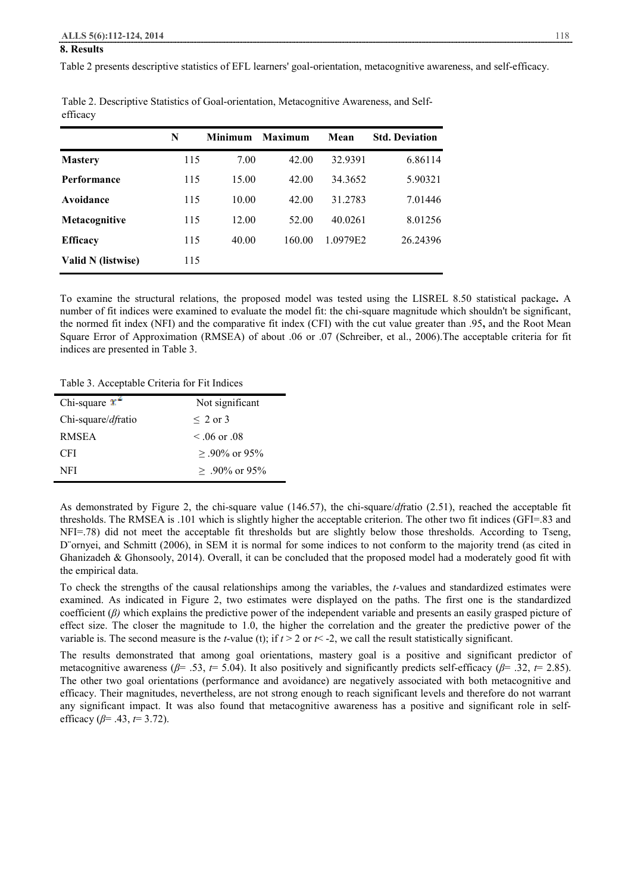#### **8. Results**

Table 2 presents descriptive statistics of EFL learners' goal-orientation, metacognitive awareness, and self-efficacy.

|                    | N   | <b>Minimum</b> | <b>Maximum</b> | Mean     | <b>Std. Deviation</b> |
|--------------------|-----|----------------|----------------|----------|-----------------------|
| <b>Mastery</b>     | 115 | 7.00           | 42.00          | 32.9391  | 6.86114               |
| Performance        | 115 | 15.00          | 42.00          | 34.3652  | 5.90321               |
| Avoidance          | 115 | 10.00          | 42.00          | 31.2783  | 7.01446               |
| Metacognitive      | 115 | 12.00          | 52.00          | 40.0261  | 8.01256               |
| <b>Efficacy</b>    | 115 | 40.00          | 160.00         | 1.0979E2 | 26.24396              |
| Valid N (listwise) | 115 |                |                |          |                       |

Table 2. Descriptive Statistics of Goal-orientation, Metacognitive Awareness, and Selfefficacy

To examine the structural relations, the proposed model was tested using the LISREL 8.50 statistical package**.** A number of fit indices were examined to evaluate the model fit: the chi-square magnitude which shouldn't be significant, the normed fit index (NFI) and the comparative fit index (CFI) with the cut value greater than .95**,** and the Root Mean Square Error of Approximation (RMSEA) of about .06 or .07 (Schreiber, et al., 2006).The acceptable criteria for fit indices are presented in Table 3.

Table 3. Acceptable Criteria for Fit Indices

| Chi-square $\mathbf{x}^*$ | Not significant       |
|---------------------------|-----------------------|
| Chi-square/dfratio        | $\leq 2$ or 3         |
| <b>RMSEA</b>              | $\leq 0.06$ or $0.08$ |
| CFI.                      | $> 90\%$ or 95%       |
| NFI                       | $> 90\%$ or 95%       |

As demonstrated by Figure 2, the chi-square value (146.57), the chi-square/*df*ratio (2.51), reached the acceptable fit thresholds. The RMSEA is .101 which is slightly higher the acceptable criterion. The other two fit indices (GFI=.83 and NFI=.78) did not meet the acceptable fit thresholds but are slightly below those thresholds. According to Tseng, D ornyei, and Schmitt (2006), in SEM it is normal for some indices to not conform to the majority trend (as cited in Ghanizadeh & Ghonsooly, 2014). Overall, it can be concluded that the proposed model had a moderately good fit with the empirical data.

To check the strengths of the causal relationships among the variables, the *t-*values and standardized estimates were examined. As indicated in Figure 2, two estimates were displayed on the paths. The first one is the standardized coefficient (*β)* which explains the predictive power of the independent variable and presents an easily grasped picture of effect size. The closer the magnitude to 1.0, the higher the correlation and the greater the predictive power of the variable is. The second measure is the *t*-value (t); if  $t > 2$  or  $t < -2$ , we call the result statistically significant.

The results demonstrated that among goal orientations, mastery goal is a positive and significant predictor of metacognitive awareness (*β*= .53, *t*= 5.04). It also positively and significantly predicts self-efficacy (*β*= .32, *t*= 2.85). The other two goal orientations (performance and avoidance) are negatively associated with both metacognitive and efficacy. Their magnitudes, nevertheless, are not strong enough to reach significant levels and therefore do not warrant any significant impact. It was also found that metacognitive awareness has a positive and significant role in selfefficacy (*β*= .43, *t*= 3.72).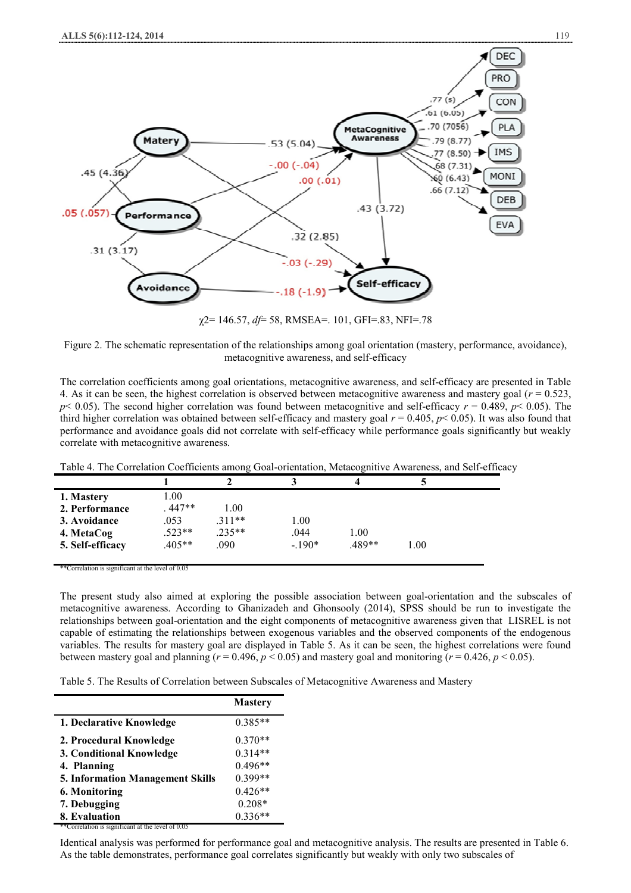

χ2= 146.57, *df*= 58, RMSEA=. 101, GFI=.83, NFI=.78

Figure 2. The schematic representation of the relationships among goal orientation (mastery, performance, avoidance), metacognitive awareness, and self-efficacy

The correlation coefficients among goal orientations, metacognitive awareness, and self-efficacy are presented in Table 4. As it can be seen, the highest correlation is observed between metacognitive awareness and mastery goal  $(r = 0.523)$ ,  $p$ < 0.05). The second higher correlation was found between metacognitive and self-efficacy  $r = 0.489$ ,  $p$ < 0.05). The third higher correlation was obtained between self-efficacy and mastery goal *r* = 0.405, *p*< 0.05). It was also found that performance and avoidance goals did not correlate with self-efficacy while performance goals significantly but weakly correlate with metacognitive awareness.

| Table 4. The Correlation Coefficients among Goal-orientation, Metacognitive Awareness, and Self-efficacy |
|----------------------------------------------------------------------------------------------------------|
|----------------------------------------------------------------------------------------------------------|

| 1. Mastery       | .00      |          |         |       |      |  |
|------------------|----------|----------|---------|-------|------|--|
| 2. Performance   | 447**    | 1.00     |         |       |      |  |
| 3. Avoidance     | .053     | $.311**$ | 1.00    |       |      |  |
| 4. MetaCog       | .523**   | $.235**$ | .044    | 1.00  |      |  |
| 5. Self-efficacy | $.405**$ | .090     | $-190*$ | 489** | 1.00 |  |
|                  |          |          |         |       |      |  |

ation is significant at the level of

The present study also aimed at exploring the possible association between goal-orientation and the subscales of metacognitive awareness. According to Ghanizadeh and Ghonsooly (2014), SPSS should be run to investigate the relationships between goal-orientation and the eight components of metacognitive awareness given that LISREL is not capable of estimating the relationships between exogenous variables and the observed components of the endogenous variables. The results for mastery goal are displayed in Table 5. As it can be seen, the highest correlations were found between mastery goal and planning ( $r = 0.496$ ,  $p < 0.05$ ) and mastery goal and monitoring ( $r = 0.426$ ,  $p < 0.05$ ).

Table 5. The Results of Correlation between Subscales of Metacognitive Awareness and Mastery

|                                                   | <b>Mastery</b> |
|---------------------------------------------------|----------------|
| 1. Declarative Knowledge                          | $0.385**$      |
| 2. Procedural Knowledge                           | $0.370**$      |
| 3. Conditional Knowledge                          | $0.314**$      |
| 4. Planning                                       | $0.496**$      |
| <b>5. Information Management Skills</b>           | 0.399**        |
| 6. Monitoring                                     | $0.426**$      |
| 7. Debugging                                      | $0.208*$       |
| 8. Evaluation                                     | $0.336**$      |
| **Correlation is significant at the level of 0.05 |                |

Identical analysis was performed for performance goal and metacognitive analysis. The results are presented in Table 6. As the table demonstrates, performance goal correlates significantly but weakly with only two subscales of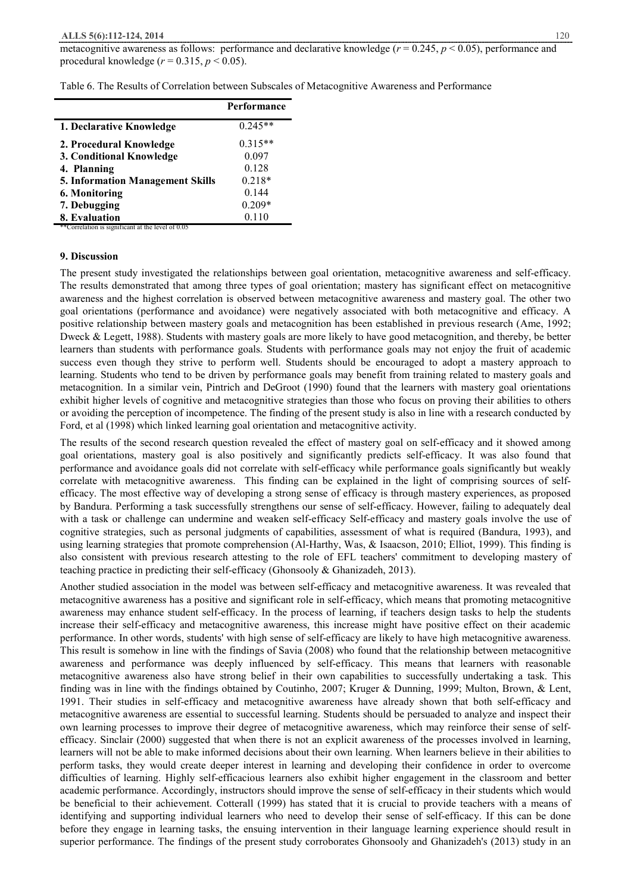#### **ALLS 5(6):112-124, 2014** 120

metacognitive awareness as follows: performance and declarative knowledge (*r* = 0.245, *p* < 0.05), performance and procedural knowledge (*r* = 0.315, *p* < 0.05).

|  |  |  | Table 6. The Results of Correlation between Subscales of Metacognitive Awareness and Performance |  |
|--|--|--|--------------------------------------------------------------------------------------------------|--|
|  |  |  |                                                                                                  |  |

|                                                   | Performance |
|---------------------------------------------------|-------------|
| 1. Declarative Knowledge                          | $0.245**$   |
| 2. Procedural Knowledge                           | $0.315**$   |
| 3. Conditional Knowledge                          | 0.097       |
| 4. Planning                                       | 0.128       |
| <b>5. Information Management Skills</b>           | $0.218*$    |
| 6. Monitoring                                     | 0.144       |
| 7. Debugging                                      | $0.209*$    |
| 8. Evaluation                                     | 0.110       |
| **Correlation is significant at the level of 0.05 |             |

# **9. Discussion**

The present study investigated the relationships between goal orientation, metacognitive awareness and self-efficacy. The results demonstrated that among three types of goal orientation; mastery has significant effect on metacognitive awareness and the highest correlation is observed between metacognitive awareness and mastery goal. The other two goal orientations (performance and avoidance) were negatively associated with both metacognitive and efficacy. A positive relationship between mastery goals and metacognition has been established in previous research (Ame, 1992; Dweck & Legett, 1988). Students with mastery goals are more likely to have good metacognition, and thereby, be better learners than students with performance goals. Students with performance goals may not enjoy the fruit of academic success even though they strive to perform well. Students should be encouraged to adopt a mastery approach to learning. Students who tend to be driven by performance goals may benefit from training related to mastery goals and metacognition. In a similar vein, Pintrich and DeGroot (1990) found that the learners with mastery goal orientations exhibit higher levels of cognitive and metacognitive strategies than those who focus on proving their abilities to others or avoiding the perception of incompetence. The finding of the present study is also in line with a research conducted by Ford, et al (1998) which linked learning goal orientation and metacognitive activity.

The results of the second research question revealed the effect of mastery goal on self-efficacy and it showed among goal orientations, mastery goal is also positively and significantly predicts self-efficacy. It was also found that performance and avoidance goals did not correlate with self-efficacy while performance goals significantly but weakly correlate with metacognitive awareness. This finding can be explained in the light of comprising sources of selfefficacy. The most effective way of developing a strong sense of efficacy is through mastery experiences, as proposed by Bandura. Performing a task successfully strengthens our sense of self-efficacy. However, failing to adequately deal with a task or challenge can undermine and weaken self-efficacy Self-efficacy and mastery goals involve the use of cognitive strategies, such as personal judgments of capabilities, assessment of what is required (Bandura, 1993), and using learning strategies that promote comprehension (Al-Harthy, Was, & Isaacson, 2010; Elliot, 1999). This finding is also consistent with previous research attesting to the role of EFL teachers' commitment to developing mastery of teaching practice in predicting their self-efficacy (Ghonsooly & Ghanizadeh, 2013).

Another studied association in the model was between self-efficacy and metacognitive awareness. It was revealed that metacognitive awareness has a positive and significant role in self-efficacy, which means that promoting metacognitive awareness may enhance student self-efficacy. In the process of learning, if teachers design tasks to help the students increase their self-efficacy and metacognitive awareness, this increase might have positive effect on their academic performance. In other words, students' with high sense of self-efficacy are likely to have high metacognitive awareness. This result is somehow in line with the findings of Savia (2008) who found that the relationship between metacognitive awareness and performance was deeply influenced by self-efficacy. This means that learners with reasonable metacognitive awareness also have strong belief in their own capabilities to successfully undertaking a task. This finding was in line with the findings obtained by Coutinho, 2007; Kruger & Dunning, 1999; Multon, Brown, & Lent, 1991. Their studies in self-efficacy and metacognitive awareness have already shown that both self-efficacy and metacognitive awareness are essential to successful learning. Students should be persuaded to analyze and inspect their own learning processes to improve their degree of metacognitive awareness, which may reinforce their sense of selfefficacy. Sinclair (2000) suggested that when there is not an explicit awareness of the processes involved in learning, learners will not be able to make informed decisions about their own learning. When learners believe in their abilities to perform tasks, they would create deeper interest in learning and developing their confidence in order to overcome difficulties of learning. Highly self-efficacious learners also exhibit higher engagement in the classroom and better academic performance. Accordingly, instructors should improve the sense of self-efficacy in their students which would be beneficial to their achievement. Cotterall (1999) has stated that it is crucial to provide teachers with a means of identifying and supporting individual learners who need to develop their sense of self-efficacy. If this can be done before they engage in learning tasks, the ensuing intervention in their language learning experience should result in superior performance. The findings of the present study corroborates Ghonsooly and Ghanizadeh's (2013) study in an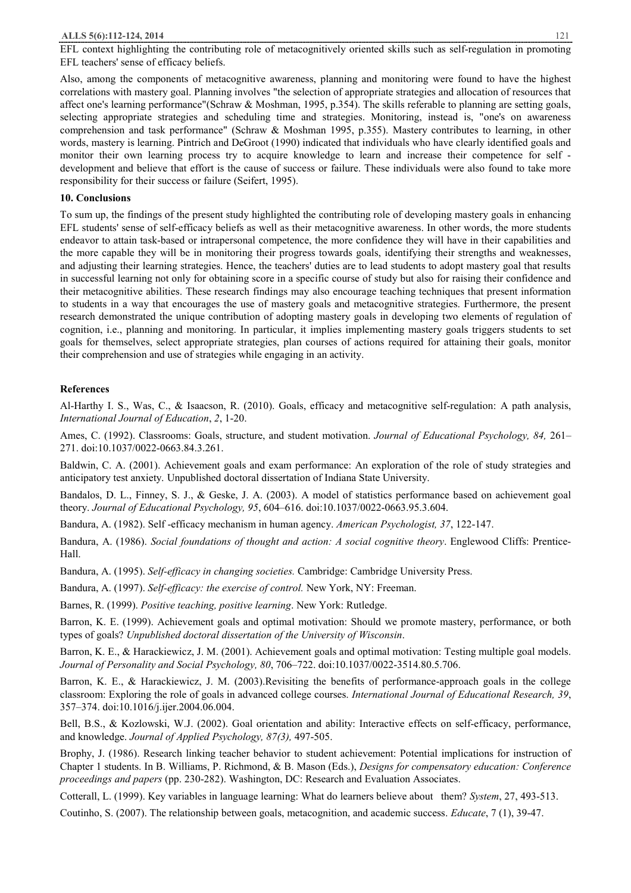EFL context highlighting the contributing role of metacognitively oriented skills such as self-regulation in promoting EFL teachers' sense of efficacy beliefs.

Also, among the components of metacognitive awareness, planning and monitoring were found to have the highest correlations with mastery goal. Planning involves "the selection of appropriate strategies and allocation of resources that affect one's learning performance"(Schraw & Moshman, 1995, p.354). The skills referable to planning are setting goals, selecting appropriate strategies and scheduling time and strategies. Monitoring, instead is, "one's on awareness comprehension and task performance" (Schraw & Moshman 1995, p.355). Mastery contributes to learning, in other words, mastery is learning. Pintrich and DeGroot (1990) indicated that individuals who have clearly identified goals and monitor their own learning process try to acquire knowledge to learn and increase their competence for self development and believe that effort is the cause of success or failure. These individuals were also found to take more responsibility for their success or failure (Seifert, 1995).

#### **10. Conclusions**

To sum up, the findings of the present study highlighted the contributing role of developing mastery goals in enhancing EFL students' sense of self-efficacy beliefs as well as their metacognitive awareness. In other words, the more students endeavor to attain task-based or intrapersonal competence, the more confidence they will have in their capabilities and the more capable they will be in monitoring their progress towards goals, identifying their strengths and weaknesses, and adjusting their learning strategies. Hence, the teachers' duties are to lead students to adopt mastery goal that results in successful learning not only for obtaining score in a specific course of study but also for raising their confidence and their metacognitive abilities. These research findings may also encourage teaching techniques that present information to students in a way that encourages the use of mastery goals and metacognitive strategies. Furthermore, the present research demonstrated the unique contribution of adopting mastery goals in developing two elements of regulation of cognition, i.e., planning and monitoring. In particular, it implies implementing mastery goals triggers students to set goals for themselves, select appropriate strategies, plan courses of actions required for attaining their goals, monitor their comprehension and use of strategies while engaging in an activity.

#### **References**

Al-Harthy I. S., Was, C., & Isaacson, R. (2010). Goals, efficacy and metacognitive self-regulation: A path analysis, *International Journal of Education*, *2*, 1-20.

Ames, C. (1992). Classrooms: Goals, structure, and student motivation. *Journal of Educational Psychology, 84,* 261– 271. doi:10.1037/0022-0663.84.3.261.

Baldwin, C. A. (2001). Achievement goals and exam performance: An exploration of the role of study strategies and anticipatory test anxiety. Unpublished doctoral dissertation of Indiana State University.

Bandalos, D. L., Finney, S. J., & Geske, J. A. (2003). A model of statistics performance based on achievement goal theory. *Journal of Educational Psychology, 95*, 604–616. doi:10.1037/0022-0663.95.3.604.

Bandura, A. (1982). Self -efficacy mechanism in human agency. *American Psychologist, 37*, 122-147.

Bandura, A. (1986). *Social foundations of thought and action: A social cognitive theory*. Englewood Cliffs: Prentice-Hall.

Bandura, A. (1995). *Self-efficacy in changing societies.* Cambridge: Cambridge University Press.

Bandura, A. (1997). *Self-efficacy: the exercise of control.* New York, NY: Freeman.

Barnes, R. (1999). *Positive teaching, positive learning*. New York: Rutledge.

Barron, K. E. (1999). Achievement goals and optimal motivation: Should we promote mastery, performance, or both types of goals? *Unpublished doctoral dissertation of the University of Wisconsin*.

Barron, K. E., & Harackiewicz, J. M. (2001). Achievement goals and optimal motivation: Testing multiple goal models. *Journal of Personality and Social Psychology, 80*, 706–722. doi:10.1037/0022-3514.80.5.706.

Barron, K. E., & Harackiewicz, J. M. (2003).Revisiting the benefits of performance-approach goals in the college classroom: Exploring the role of goals in advanced college courses. *International Journal of Educational Research, 39*, 357–374. doi:10.1016/j.ijer.2004.06.004.

Bell, B.S., & Kozlowski, W.J. (2002). Goal orientation and ability: Interactive effects on self-efficacy, performance, and knowledge. *Journal of Applied Psychology, 87(3),* 497-505.

Brophy, J. (1986). Research linking teacher behavior to student achievement: Potential implications for instruction of Chapter 1 students. In B. Williams, P. Richmond, & B. Mason (Eds.), *Designs for compensatory education: Conference proceedings and papers* (pp. 230-282). Washington, DC: Research and Evaluation Associates.

Cotterall, L. (1999). Key variables in language learning: What do learners believe about them? *System*, 27, 493-513.

Coutinho, S. (2007). The relationship between goals, metacognition, and academic success. *Educate*, 7 (1), 39-47.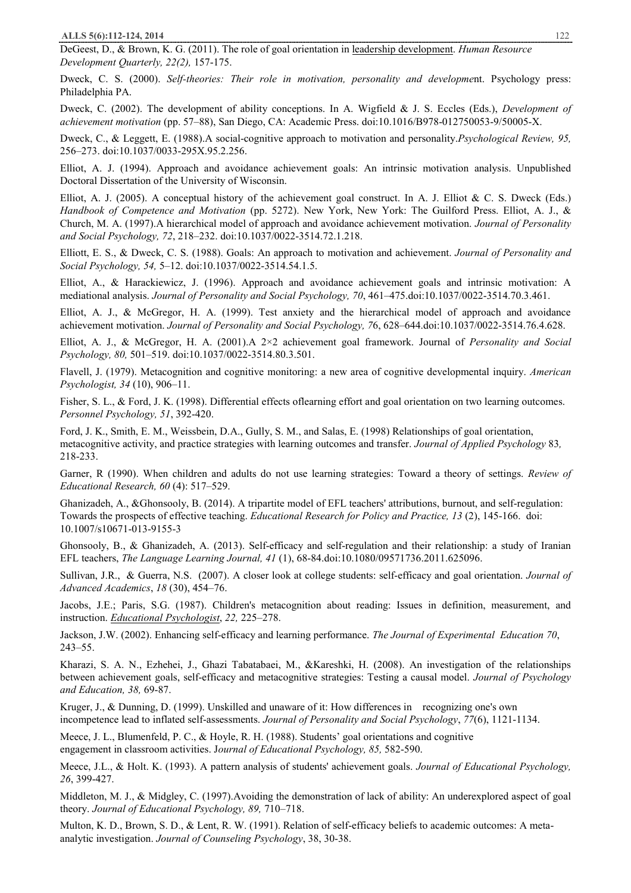DeGeest, D., & Brown, K. G. (2011). The role of goal orientation in leadership development. *Human Resource Development Quarterly, 22(2),* 157-175.

Dweck, C. S. (2000). *Self-theories: Their role in motivation, personality and developme*nt. Psychology press: Philadelphia PA.

Dweck, C. (2002). The development of ability conceptions. In A. Wigfield & J. S. Eccles (Eds.), *Development of achievement motivation* (pp. 57–88), San Diego, CA: Academic Press. doi:10.1016/B978-012750053-9/50005-X.

Dweck, C., & Leggett, E. (1988).A social-cognitive approach to motivation and personality.*Psychological Review, 95,* 256–273. doi:10.1037/0033-295X.95.2.256.

Elliot, A. J. (1994). Approach and avoidance achievement goals: An intrinsic motivation analysis. Unpublished Doctoral Dissertation of the University of Wisconsin.

Elliot, A. J. (2005). A conceptual history of the achievement goal construct. In A. J. Elliot & C. S. Dweck (Eds.) *Handbook of Competence and Motivation* (pp. 5272). New York, New York: The Guilford Press. Elliot, A. J., & Church, M. A. (1997).A hierarchical model of approach and avoidance achievement motivation. *Journal of Personality and Social Psychology, 72*, 218–232. doi:10.1037/0022-3514.72.1.218.

Elliott, E. S., & Dweck, C. S. (1988). Goals: An approach to motivation and achievement. *Journal of Personality and Social Psychology, 54,* 5–12. doi:10.1037/0022-3514.54.1.5.

Elliot, A., & Harackiewicz, J. (1996). Approach and avoidance achievement goals and intrinsic motivation: A mediational analysis. *Journal of Personality and Social Psychology, 70*, 461–475.doi:10.1037/0022-3514.70.3.461.

Elliot, A. J., & McGregor, H. A. (1999). Test anxiety and the hierarchical model of approach and avoidance achievement motivation. *Journal of Personality and Social Psychology, 7*6, 628–644.doi:10.1037/0022-3514.76.4.628.

Elliot, A. J., & McGregor, H. A. (2001).A 2×2 achievement goal framework. Journal of *Personality and Social Psychology, 80,* 501–519. doi:10.1037/0022-3514.80.3.501.

Flavell, J. (1979). Metacognition and cognitive monitoring: a new area of cognitive developmental inquiry. *American Psychologist, 34* (10), 906–11.

Fisher, S. L., & Ford, J. K. (1998). Differential effects oflearning effort and goal orientation on two learning outcomes. *Personnel Psychology, 51*, 392-420.

Ford, J. K., Smith, E. M., Weissbein, D.A., Gully, S. M., and Salas, E. (1998) Relationships of goal orientation, metacognitive activity, and practice strategies with learning outcomes and transfer. *Journal of Applied Psychology* 83*,*  218-233.

Garner, R (1990). When children and adults do not use learning strategies: Toward a theory of settings. *Review of Educational Research, 60* (4): 517–529.

Ghanizadeh, A., &Ghonsooly, B. (2014). A tripartite model of EFL teachers' attributions, burnout, and self-regulation: Towards the prospects of effective teaching. *Educational Research for Policy and Practice, 13* (2), 145-166. doi: 10.1007/s10671-013-9155-3

Ghonsooly, B., & Ghanizadeh, A. (2013). Self-efficacy and self-regulation and their relationship: a study of Iranian EFL teachers, *The Language Learning Journal, 41* (1), 68-84.doi:10.1080/09571736.2011.625096.

Sullivan, J.R., & Guerra, N.S. (2007). A closer look at college students: self-efficacy and goal orientation. *Journal of Advanced Academics*, *18* (30), 454–76.

Jacobs, J.E.; Paris, S.G. (1987). Children's metacognition about reading: Issues in definition, measurement, and instruction. *Educational Psychologist*, *22,* 225–278.

Jackson, J.W. (2002). Enhancing self-efficacy and learning performance. *The Journal of Experimental Education 70*, 243–55.

Kharazi, S. A. N., Ezhehei, J., Ghazi Tabatabaei, M., &Kareshki, H. (2008). An investigation of the relationships between achievement goals, self-efficacy and metacognitive strategies: Testing a causal model. *Journal of Psychology and Education, 38,* 69-87.

Kruger, J., & Dunning, D. (1999). Unskilled and unaware of it: How differences in recognizing one's own incompetence lead to inflated self-assessments. *Journal of Personality and Social Psychology*, *77*(6), 1121-1134.

Meece, J. L., Blumenfeld, P. C., & Hoyle, R. H. (1988). Students' goal orientations and cognitive engagement in classroom activities. J*ournal of Educational Psychology, 85,* 582-590.

Meece, J.L., & Holt. K. (1993). A pattern analysis of students' achievement goals. *Journal of Educational Psychology, 26*, 399-427.

Middleton, M. J., & Midgley, C. (1997).Avoiding the demonstration of lack of ability: An underexplored aspect of goal theory. *Journal of Educational Psychology, 89,* 710–718.

Multon, K. D., Brown, S. D., & Lent, R. W. (1991). Relation of self-efficacy beliefs to academic outcomes: A metaanalytic investigation. *Journal of Counseling Psychology*, 38, 30-38.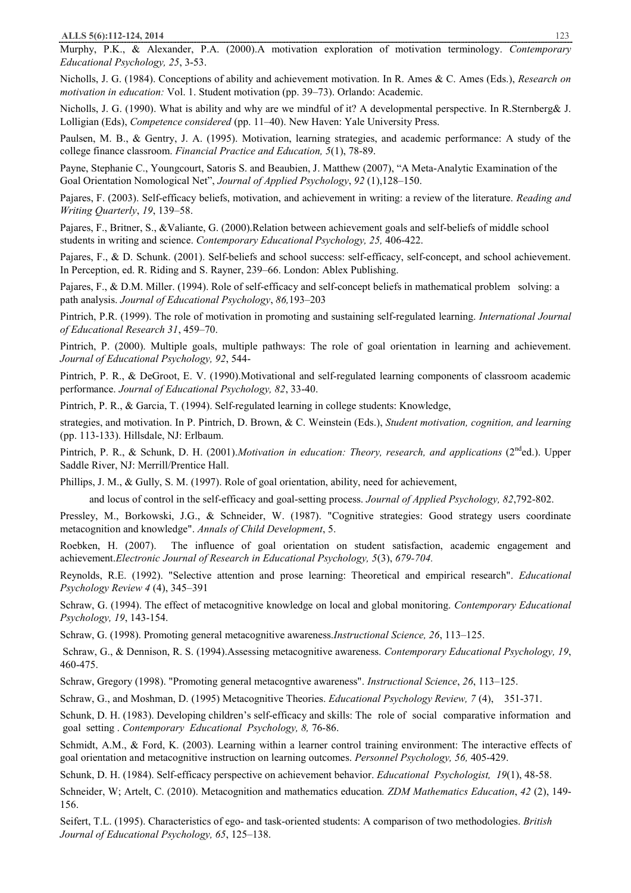Murphy, P.K., & Alexander, P.A. (2000).A motivation exploration of motivation terminology. *Contemporary Educational Psychology, 25*, 3-53.

Nicholls, J. G. (1984). Conceptions of ability and achievement motivation. In R. Ames & C. Ames (Eds.), *Research on motivation in education:* Vol. 1. Student motivation (pp. 39–73). Orlando: Academic.

Nicholls, J. G. (1990). What is ability and why are we mindful of it? A developmental perspective. In R.Sternberg& J. Lolligian (Eds), *Competence considered* (pp. 11–40). New Haven: Yale University Press.

Paulsen, M. B., & Gentry, J. A. (1995). Motivation, learning strategies, and academic performance: A study of the college finance classroom. *Financial Practice and Education, 5*(1), 78-89.

Payne, Stephanie C., Youngcourt, Satoris S. and Beaubien, J. Matthew (2007), "A Meta-Analytic Examination of the Goal Orientation Nomological Net", *Journal of Applied Psychology*, *92* (1),128–150.

Pajares, F. (2003). Self-efficacy beliefs, motivation, and achievement in writing: a review of the literature. *Reading and Writing Quarterly*, *19*, 139–58.

Pajares, F., Britner, S., &Valiante, G. (2000).Relation between achievement goals and self-beliefs of middle school students in writing and science. *Contemporary Educational Psychology, 25,* 406-422.

Pajares, F., & D. Schunk. (2001). Self-beliefs and school success: self-efficacy, self-concept, and school achievement. In Perception, ed. R. Riding and S. Rayner, 239–66. London: Ablex Publishing.

Pajares, F., & D.M. Miller. (1994). Role of self-efficacy and self-concept beliefs in mathematical problem solving: a path analysis. *Journal of Educational Psychology*, *86,*193–203

Pintrich, P.R. (1999). The role of motivation in promoting and sustaining self-regulated learning. *International Journal of Educational Research 31*, 459–70.

Pintrich, P. (2000). Multiple goals, multiple pathways: The role of goal orientation in learning and achievement. *Journal of Educational Psychology, 92*, 544-

Pintrich, P. R., & DeGroot, E. V. (1990).Motivational and self-regulated learning components of classroom academic performance. *Journal of Educational Psychology, 82*, 33-40.

Pintrich, P. R., & Garcia, T. (1994). Self-regulated learning in college students: Knowledge,

strategies, and motivation. In P. Pintrich, D. Brown, & C. Weinstein (Eds.), *Student motivation, cognition, and learning* (pp. 113-133). Hillsdale, NJ: Erlbaum.

Pintrich, P. R., & Schunk, D. H. (2001).*Motivation in education: Theory, research, and applications* (2<sup>nd</sup>ed.). Upper Saddle River, NJ: Merrill/Prentice Hall.

Phillips, J. M., & Gully, S. M. (1997). Role of goal orientation, ability, need for achievement,

and locus of control in the self-efficacy and goal-setting process. *Journal of Applied Psychology, 82*,792-802.

Pressley, M., Borkowski, J.G., & Schneider, W. (1987). "Cognitive strategies: Good strategy users coordinate metacognition and knowledge". *Annals of Child Development*, 5.

Roebken, H. (2007). The influence of goal orientation on student satisfaction, academic engagement and achievement.*Electronic Journal of Research in Educational Psychology, 5*(3), *679-704.*

Reynolds, R.E. (1992). "Selective attention and prose learning: Theoretical and empirical research". *Educational Psychology Review 4* (4), 345–391

Schraw, G. (1994). The effect of metacognitive knowledge on local and global monitoring. *Contemporary Educational Psychology, 19*, 143-154.

Schraw, G. (1998). Promoting general metacognitive awareness.*Instructional Science, 26*, 113–125.

Schraw, G., & Dennison, R. S. (1994).Assessing metacognitive awareness. *Contemporary Educational Psychology, 19*, 460-475.

Schraw, Gregory (1998). "Promoting general metacogntive awareness". *Instructional Science*, *26*, 113–125.

Schraw, G., and Moshman, D. (1995) Metacognitive Theories. *Educational Psychology Review, 7* (4), 351-371.

Schunk, D. H. (1983). Developing children's self-efficacy and skills: The role of social comparative information and goal setting . *Contemporary Educational Psychology, 8,* 76-86.

Schmidt, A.M., & Ford, K. (2003). Learning within a learner control training environment: The interactive effects of goal orientation and metacognitive instruction on learning outcomes. *Personnel Psychology, 56,* 405-429.

Schunk, D. H. (1984). Self-efficacy perspective on achievement behavior. *Educational Psychologist, 19*(1), 48-58.

Schneider, W; Artelt, C. (2010). Metacognition and mathematics education*. ZDM Mathematics Education*, *42* (2), 149- 156.

Seifert, T.L. (1995). Characteristics of ego- and task-oriented students: A comparison of two methodologies. *British Journal of Educational Psychology, 65*, 125–138.